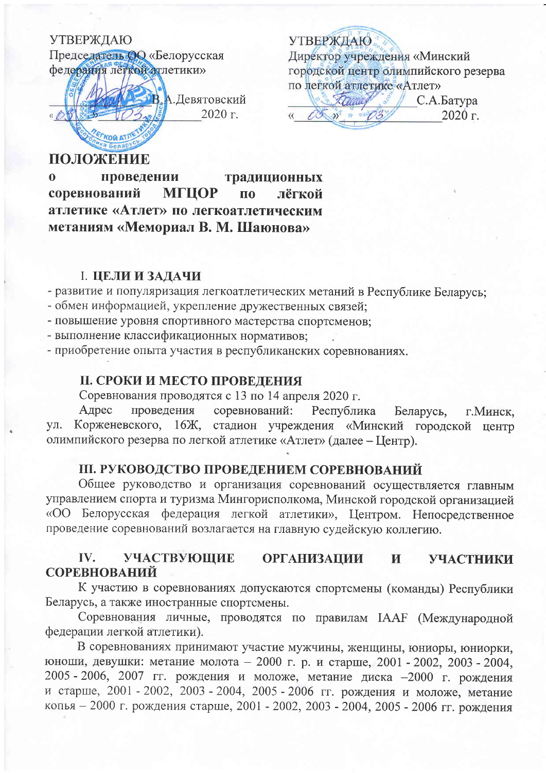# УТВЕРЖДАЮ

Председатель **ОО** «Белорусская федерация лёгкой атлетики»

В.А. Девятовский 2020 г.

**УТВЕРЖДАЮ** Директор учреждения «Минский городской центр олимпийского резерва по легкой атлетике «Атлет»

trumy С.А.Батура OS 35 1 08/03  $2020$  г.  $\langle \langle$ 

## ПОЛОЖЕНИЕ

проведении  $\mathbf{0}$ традиционных **МГЦОР** соревнований лёгкой  $\Pi$ <sup>O</sup> атлетике «Атлет» по легкоатлетическим метаниям «Мемориал В. М. Шаюнова»

## **I. ЦЕЛИ И ЗАДАЧИ**

- развитие и популяризация легкоатлетических метаний в Республике Беларусь;

- обмен информацией, укрепление дружественных связей;
- повышение уровня спортивного мастерства спортсменов:

- выполнение классификационных нормативов;

- приобретение опыта участия в республиканских соревнованиях.

## **II. СРОКИ И МЕСТО ПРОВЕДЕНИЯ**

Соревнования проводятся с 13 по 14 апреля 2020 г.

Адрес проведения соревнований: Республика Беларусь, г. Минск. Корженевского, 16Ж, стадион учреждения «Минский городской центр yл. олимпийского резерва по легкой атлетике «Атлет» (далее - Центр).

## **III. РУКОВОДСТВО ПРОВЕДЕНИЕМ СОРЕВНОВАНИЙ**

Общее руководство и организация соревнований осуществляется главным управлением спорта и туризма Мингорисполкома, Минской городской организацией «ОО Белорусская федерация легкой атлетики», Центром. Непосредственное проведение соревнований возлагается на главную судейскую коллегию.

#### IV. **УЧАСТВУЮЩИЕ ОРГАНИЗАЦИИ** И **УЧАСТНИКИ СОРЕВНОВАНИЙ**

К участию в соревнованиях допускаются спортсмены (команды) Республики Беларусь, а также иностранные спортсмены.

Соревнования личные, проводятся по правилам IAAF (Международной федерации легкой атлетики).

В соревнованиях принимают участие мужчины, женщины, юниоры, юниорки, юноши, девушки: метание молота - 2000 г. р. и старше, 2001 - 2002, 2003 - 2004, 2005 - 2006, 2007 гг. рождения и моложе, метание диска - 2000 г. рождения и старше, 2001 - 2002, 2003 - 2004, 2005 - 2006 гг. рождения и моложе, метание копья - 2000 г. рождения старше, 2001 - 2002, 2003 - 2004, 2005 - 2006 гг. рождения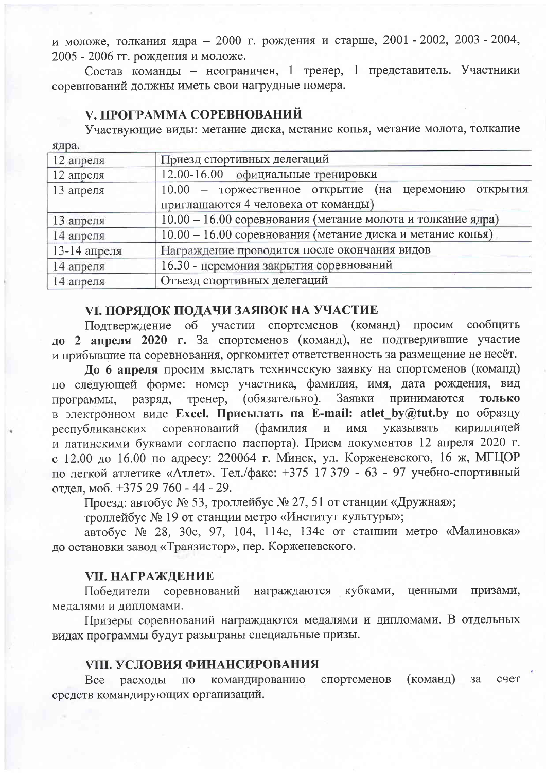и моложе, толкания ядра - 2000 г. рождения и старше, 2001 - 2002, 2003 - 2004, 2005 - 2006 гг. рождения и моложе.

Состав команды - неограничен, 1 тренер, 1 представитель. Участники соревнований должны иметь свои нагрудные номера.

### **V. ПРОГРАММА СОРЕВНОВАНИЙ**

 $q \pi n q$ 

Участвующие виды: метание диска, метание копья, метание молота, толкание

| Приезд спортивных делегаций                                 |
|-------------------------------------------------------------|
| 12.00-16.00 - официальные тренировки                        |
| 10.00 - торжественное открытие (на церемонию открытия       |
| приглашаются 4 человека от команды)                         |
| 10.00 - 16.00 соревнования (метание молота и толкание ядра) |
| 10.00 - 16.00 соревнования (метание диска и метание копья)  |
| Награждение проводится после окончания видов                |
| 16.30 - церемония закрытия соревнований                     |
| Отъезд спортивных делегаций                                 |
|                                                             |

### **VI. ПОРЯДОК ПОДАЧИ ЗАЯВОК НА УЧАСТИЕ**

Подтверждение об участии спортсменов (команд) просим сообщить до 2 апреля 2020 г. За спортсменов (команд), не подтвердившие участие и прибывшие на соревнования, оргкомитет ответственность за размещение не несёт.

До 6 апреля просим выслать техническую заявку на спортсменов (команд) по следующей форме: номер участника, фамилия, имя, дата рождения, вид разряд, тренер, (обязательно). Заявки принимаются **ТОЛЬКО** программы. в электронном виде Excel. Присылать на E-mail: atlet by@tut.by по образцу соревнований (фамилия и имя указывать кириллицей республиканских и латинскими буквами согласно паспорта). Прием документов 12 апреля 2020 г. с 12.00 до 16.00 по адресу: 220064 г. Минск, ул. Корженевского, 16 ж, МГЦОР по легкой атлетике «Атлет». Тел./факс: +375 17 379 - 63 - 97 учебно-спортивный отлел. моб. +375 29 760 - 44 - 29.

Проезд: автобус № 53, троллейбус № 27, 51 от станции «Дружная»;

троллейбус № 19 от станции метро «Институт культуры»;

автобус № 28, 30с, 97, 104, 114с, 134с от станции метро «Малиновка» до остановки завод «Транзистор», пер. Корженевского.

### VII. НАГРАЖДЕНИЕ

Победители соревнований награждаются кубками, ценными призами. медалями и дипломами.

Призеры соревнований награждаются медалями и дипломами. В отдельных видах программы будут разыграны специальные призы.

### **VIII. УСЛОВИЯ ФИНАНСИРОВАНИЯ**

спортсменов (команд) командированию  $3a$ счет Bce расходы  $\overline{10}$ средств командирующих организаций.